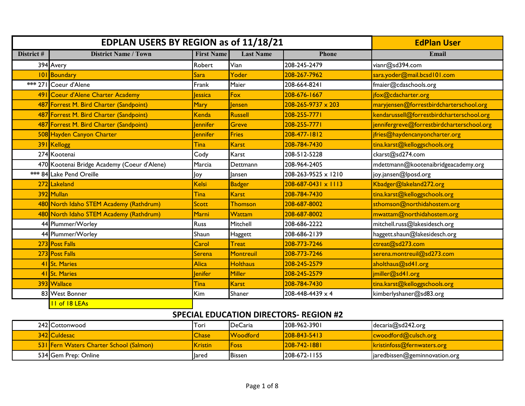|            | EDPLAN USERS BY REGION as of 11/18/21       | <b>EdPlan User</b> |                  |                                |                                            |
|------------|---------------------------------------------|--------------------|------------------|--------------------------------|--------------------------------------------|
| District # | <b>District Name / Town</b>                 | <b>First Name</b>  | <b>Last Name</b> | <b>Phone</b>                   | Email                                      |
|            | 394 Avery                                   | Robert             | Vian             | 208-245-2479                   | vianr@sd394.com                            |
|            | 101 Boundary                                | <b>Sara</b>        | Yoder            | 208-267-7962                   | sara.yoder@mail.bcsd101.com                |
|            | *** 271 Coeur d'Alene                       | Frank              | Maier            | 208-664-8241                   | fmaier@cdaschools.org                      |
|            | 491 Coeur d'Alene Charter Academy           | lessica            | Fox              | 208-676-1667                   | jfox@cdacharter.org                        |
|            | 487 Forrest M. Bird Charter (Sandpoint)     | <b>Mary</b>        | lensen           | $208 - 265 - 9737 \times 203$  | maryjensen@forrestbirdcharterschool.org    |
|            | 487 Forrest M. Bird Charter (Sandpoint)     | Kenda              | Russell          | 208-255-7771                   | kendarussell@forrestbirdcharterschool.org  |
|            | 487 Forrest M. Bird Charter (Sandpoint)     | lennifer           | Greve            | 208-255-7771                   | jennifergreve@forrestbirdcharterschool.org |
|            | 508 Hayden Canyon Charter                   | lennifer           | Fries            | 208-477-1812                   | jfries@haydencanyoncharter.org             |
|            | 391 Kellogg                                 | Tina               | <b>Karst</b>     | 208-784-7430                   | tina.karst@kelloggschools.org              |
|            | 274 Kootenai                                | Cody               | Karst            | 208-512-5228                   | ckarst@sd274.com                           |
|            | 470 Kootenai Bridge Academy (Coeur d'Alene) | Marcia             | Dettmann         | 208-964-2405                   | mdettmann@kootenaibridgeacademy.org        |
|            | *** 84 Lake Pend Oreille                    | Joy                | lansen           | 208-263-9525 x 1210            | joy.jansen@lposd.org                       |
|            | 272 Lakeland                                | <b>Kelsi</b>       | <b>Badger</b>    | $208 - 687 - 0431 \times 1113$ | Kbadger@lakeland272.org                    |
|            | 392 Mullan                                  | Tina               | <b>Karst</b>     | 208-784-7430                   | tina.karst@kelloggschools.org              |
|            | 480 North Idaho STEM Academy (Rathdrum)     | <b>Scott</b>       | Thomson          | 208-687-8002                   | sthomson@northidahostem.org                |
|            | 480 North Idaho STEM Academy (Rathdrum)     | Marni              | Wattam           | 208-687-8002                   | mwattam@northidahostem.org                 |
|            | 44 Plummer/Worley                           | Russ               | Mitchell         | 208-686-2222                   | mitchell.russ@lakesidesch.org              |
|            | 44 Plummer/Worley                           | Shaun              | Haggett          | 208-686-2139                   | haggett.shaun@lakesidesch.org              |
|            | 273 Post Falls                              | Carol              | <b>Treat</b>     | 208-773-7246                   | ctreat@sd273.com                           |
|            | 273 Post Falls                              | Serena             | Montreuil        | 208-773-7246                   | serena.montreuil@sd273.com                 |
|            | 41 St. Maries                               | <b>Alica</b>       | <b>Holthaus</b>  | 208-245-2579                   | aholthaus@sd41.org                         |
|            | 41 St. Maries                               | lenifer            | Miller           | 208-245-2579                   | jmiller@sd41.org                           |
|            | 393 Wallace                                 | Tina               | <b>Karst</b>     | 208-784-7430                   | tina.karst@kelloggschools.org              |
|            | 83 West Bonner                              | Kim                | Shaner           | 208-448-4439 x 4               | kimberlyshaner@sd83.org                    |
|            | <b>II</b> of 18 LEAs                        |                    |                  |                                |                                            |

| 242 Cottonwood                                 | Tori         | <b>IDeCaria</b> | 1208-962-3901 | decaria@sd242.org             |
|------------------------------------------------|--------------|-----------------|---------------|-------------------------------|
| 342 Culdesac                                   | <b>Chase</b> | <b>Woodford</b> | 208-843-5413  | cwoodford@culsch.org          |
| <b>531 Fern Waters Charter School (Salmon)</b> | Kristin      | <b>Foss</b>     | 208-742-1881  | kristinfoss@fernwaters.org    |
| 534 Gem Prep: Online                           | lared        | <b>Bissen</b>   | 1208-672-1155 | jaredbissen@geminnovation.org |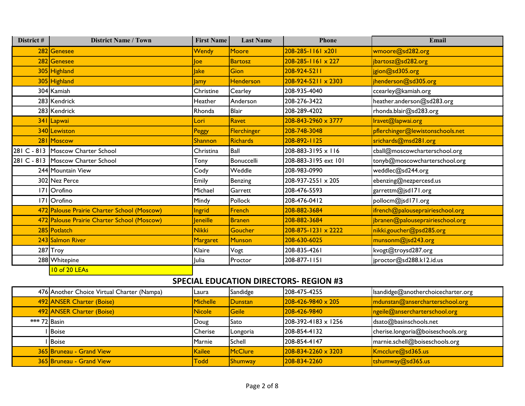| District # | <b>District Name / Town</b>                 | <b>First Name</b> | <b>Last Name</b> | Phone                          | Email                            |
|------------|---------------------------------------------|-------------------|------------------|--------------------------------|----------------------------------|
|            | 282 Genesee                                 | Wendy             | Moore            | 208-285-1161 x201              | wmoore@sd282.org                 |
|            | 282 Genesee                                 | loe               | <b>Bartosz</b>   | $208 - 285 - 116$ $\times 227$ | jbartosz@sd282.org               |
|            | 305 Highland                                | <b>lake</b>       | <b>Gion</b>      | 208-924-5211                   | jgion@sd305.org                  |
|            | 305 Highland                                | <b>Jamy</b>       | <b>Henderson</b> | $208 - 924 - 5211 \times 2303$ | jhenderson@sd305.org             |
|            | 304 Kamiah                                  | Christine         | Cearley          | 208-935-4040                   | ccearley@kamiah.org              |
|            | 283 Kendrick                                | Heather           | Anderson         | 208-276-3422                   | heather.anderson@sd283.org       |
|            | 283 Kendrick                                | Rhonda            | <b>Blair</b>     | 208-289-4202                   | rhonda.blair@sd283.org           |
|            | 341 Lapwai                                  | Lori              | Ravet            | $208 - 843 - 2960 \times 3777$ | Iravet@lapwai.org                |
|            | 340 Lewiston                                | Peggy             | Flerchinger      | 208-748-3048                   | pflerchinger@lewistonschools.net |
|            | 281 Moscow                                  | <b>Shannon</b>    | <b>Richards</b>  | 208-892-1125                   | srichards@msd281.org             |
|            | 281 C - 813 Moscow Charter School           | Christina         | <b>Ball</b>      | $208 - 883 - 3195 \times 116$  | cball@moscowcharterschool.org    |
|            | 281 C - 813 Moscow Charter School           | Tony              | Bonuccelli       | 208-883-3195 ext 101           | tonyb@moscowcharterschool.org    |
|            | 244 Mountain View                           | Cody              | Weddle           | 208-983-0990                   | weddlec@sd244.org                |
|            | 302 Nez Perce                               | Emily             | Benzing          | 208-937-2551 x 205             | ebenzing@nezpercesd.us           |
|            | 171 Orofino                                 | Michael           | Garrett          | 208-476-5593                   | garrettm@jsd171.org              |
|            | 171 Orofino                                 | Mindy             | Pollock          | 208-476-0412                   | pollocm@jsd171.org               |
|            | 472 Palouse Prairie Charter School (Moscow) | <b>Ingrid</b>     | French           | 208-882-3684                   | ifrench@palouseprairieschool.org |
|            | 472 Palouse Prairie Charter School (Moscow) | Jeneille          | <b>Branen</b>    | 208-882-3684                   | jbranen@palouseprairieschool.org |
|            | 285 Potlatch                                | <b>Nikki</b>      | Goucher          | 208-875-1231 x 2222            | nikki.goucher@psd285.org         |
|            | 243 Salmon River                            | <b>Margaret</b>   | Munson           | 208-630-6025                   | munsonm@jsd243.org               |
|            | 287 Troy                                    | Klaire            | Vogt             | 208-835-4261                   | kvogt@troysd287.org              |
|            | 288 Whitepine                               | Julia             | Proctor          | 208-877-1151                   | jproctor@sd288.kl2.id.us         |
|            | 10 of 20 LEAs                               |                   |                  |                                |                                  |

| 476 Another Choice Virtual Charter (Nampa) | <b>ILaura</b>   | Sandidge       | 208-475-4255                   | Isandidge@anotherchoicecharter.org |
|--------------------------------------------|-----------------|----------------|--------------------------------|------------------------------------|
| 492 ANSER Charter (Boise)                  | <b>Michelle</b> | <b>Dunstan</b> | $208 - 426 - 9840 \times 205$  | mdunstan@ansercharterschool.org    |
| 492 ANSER Charter (Boise)                  | Nicole          | Geile          | 208-426-9840                   | ngeile@ansercharterschool.org      |
| *** 72 Basin                               | Doug            | Sato           | $208-392-4183 \times 1256$     | dsato@basinschools.net             |
| I Boise                                    | Cherise         | Longoria       | 208-854-4132                   | cherise.longoria@boiseschools.org  |
| I Boise                                    | Marnie          | Schell         | 208-854-4147                   | marnie.schell@boiseschools.org     |
| 365 Bruneau - Grand View                   | Kailee          | McClure        | $208 - 834 - 2260 \times 3203$ | Kmcclure@sd365.us                  |
| 365 Bruneau - Grand View                   | <b>Todd</b>     | Shumway        | 208-834-2260                   | $\tt tshumway@sd365.us$            |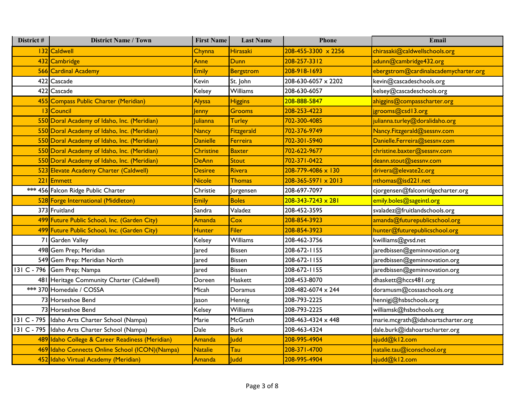| District # | <b>District Name / Town</b>                     | <b>First Name</b> | <b>Last Name</b> | Phone                          | Email                                 |
|------------|-------------------------------------------------|-------------------|------------------|--------------------------------|---------------------------------------|
|            | 132 Caldwell                                    | Chynna            | Hirasaki         | 208-455-3300 × 2256            | chirasaki@caldwellschools.org         |
|            | 432 Cambridge                                   | <b>Anne</b>       | <b>Dunn</b>      | 208-257-3312                   | adunn@cambridge432.org                |
|            | 566 Cardinal Academy                            | <b>Emily</b>      | <b>Bergstrom</b> | 208-918-1693                   | ebergstrom@cardinalacademycharter.org |
|            | 422 Cascade                                     | Kevin             | St. John         | 208-630-6057 x 2202            | kevin@cascadeschools.org              |
|            | 422 Cascade                                     | Kelsey            | Williams         | 208-630-6057                   | kelsey@cascadeschools.org             |
|            | 455 Compass Public Charter (Meridian)           | Alyssa            | <b>Higgins</b>   | 208-888-5847                   | ahiggins@compasscharter.org           |
|            | 13 Council                                      | Jenny             | Grooms           | 208-253-4223                   | jgrooms@csd13.org                     |
|            | 550 Doral Academy of Idaho, Inc. (Meridian)     | Julianna          | <b>Turley</b>    | 702-300-4085                   | julianna.turley@doralidaho.org        |
|            | 550 Doral Academy of Idaho, Inc. (Meridian)     | <b>Nancy</b>      | Fitzgerald       | 702-376-9749                   | Nancy.Fitzgerald@sessnv.com           |
|            | 550 Doral Academy of Idaho, Inc. (Meridian)     | <b>Danielle</b>   | Ferreira         | 702-301-5940                   | Danielle.Ferreira@sessnv.com          |
|            | 550 Doral Academy of Idaho, Inc. (Meridian)     | <b>Christine</b>  | <b>Baxter</b>    | 702-622-9677                   | christine.baxter@sessnv.com           |
|            | 550 Doral Academy of Idaho, Inc. (Meridian)     | <b>DeAnn</b>      | Stout            | 702-371-0422                   | deann.stout@sessnv.com                |
|            | 523 Elevate Academy Charter (Caldwell)          | <b>Desiree</b>    | Rivera           | 208-779-4086 x 130             | drivera@elevate2c.org                 |
|            | 221 Emmett                                      | <b>Nicole</b>     | Thomas           | $208 - 365 - 5971 \times 2013$ | nthomas@isd221.net                    |
|            | *** 456 Falcon Ridge Public Charter             | Christie          | Jorgensen        | 208-697-7097                   | cjorgensen@falconridgecharter.org     |
|            | 528 Forge International (Middleton)             | <b>Emily</b>      | <b>Boles</b>     | $208 - 343 - 7243 \times 281$  | emily.boles@sageintl.org              |
|            | 373 Fruitland                                   | Sandra            | Valadez          | 208-452-3595                   | svaladez@fruitlandschools.org         |
|            | 499 Future Public School, Inc. (Garden City)    | Amanda            | Cox              | 208-854-3923                   | amanda@futurepublicschool.org         |
|            | 499 Future Public School, Inc. (Garden City)    | <b>Hunter</b>     | <b>Filer</b>     | 208-854-3923                   | hunter@futurepublicschool.org         |
|            | 71 Garden Valley                                | Kelsey            | Williams         | 208-462-3756                   | kwilliams@gvsd.net                    |
|            | 498 Gem Prep; Meridian                          | lared             | <b>Bissen</b>    | 208-672-1155                   | jaredbissen@geminnovation.org         |
|            | 549 Gem Prep: Meridian North                    | Jared             | <b>Bissen</b>    | 208-672-1155                   | jaredbissen@geminnovation.org         |
|            | 131 C - 796 Gem Prep; Nampa                     | lared             | <b>Bissen</b>    | 208-672-1155                   | jaredbissen@geminnovation.org         |
|            | 481 Heritage Community Charter (Caldwell)       | Doreen            | Haskett          | 208-453-8070                   | dhaskett@hccs481.org                  |
|            | *** 370 Homedale / COSSA                        | Micah             | Doramus          | 208-482-6074 x 244             | doramusm@cossaschools.org             |
|            | 73 Horseshoe Bend                               | Jason             | Hennig           | 208-793-2225                   | hennigj@hsbschools.org                |
|            | 73 Horseshoe Bend                               | Kelsey            | Williams         | 208-793-2225                   | williamsk@hsbschools.org              |
|            | 131 C - 795 Idaho Arts Charter School (Nampa)   | Marie             | McGrath          | 208-463-4324 x 448             | marie.mcgrath@idahoartscharter.org    |
|            | 131 C - 795 Idaho Arts Charter School (Nampa)   | Dale              | <b>Burk</b>      | 208-463-4324                   | dale.burk@idahoartscharter.org        |
|            | 489 Idaho College & Career Readiness (Meridian) | Amanda            | Judd             | 208-995-4904                   | ajudd@k12.com                         |
|            | 469 Idaho Connects Online School (ICON) (Nampa) | <b>Natalie</b>    | Tau              | 208-371-4700                   | natalie.tau@iconschool.org            |
|            | 452 Idaho Virtual Academy (Meridian)            | Amanda            | <b>Judd</b>      | 208-995-4904                   | ajudd@k12.com                         |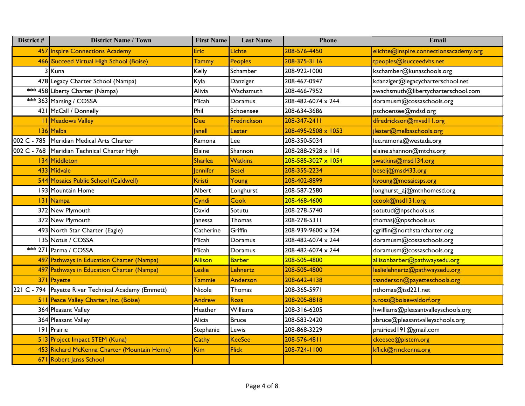| District # | <b>District Name / Town</b>                          | <b>First Name</b> | <b>Last Name</b> | Phone               | Email                                  |
|------------|------------------------------------------------------|-------------------|------------------|---------------------|----------------------------------------|
|            | 457 Inspire Connections Academy                      | Eric              | Lichte           | 208-576-4450        | elichte@inspire.connectionsacademy.org |
|            | 466   iSucceed Virtual High School (Boise)           | <b>Tammy</b>      | Peoples          | 208-375-3116        | tpeoples@isucceedvhs.net               |
|            | 3 I Kuna                                             | Kelly             | Schamber         | 208-922-1000        | kschamber@kunaschools.org              |
|            | 478 Legacy Charter School (Nampa)                    | Kyla              | Danziger         | 208-467-0947        | kdanziger@legacycharterschool.net      |
|            | *** 458 Liberty Charter (Nampa)                      | Alivia            | Wachsmuth        | 208-466-7952        | awachsmuth@libertycharterschool.com    |
|            | *** 363 Marsing / COSSA                              | Micah             | Doramus          | 208-482-6074 x 244  | doramusm@cossaschools.org              |
|            | 421 McCall / Donnelly                                | Phil              | Schoensee        | 208-634-3686        | pschoensee@mdsd.org                    |
|            | <b>11 Meadows Valley</b>                             | <b>Dee</b>        | Fredrickson      | 208-347-2411        | dfredrickson@mvsd11.org                |
|            | 136 Melba                                            | <b>Janell</b>     | Lester           | 208-495-2508 x 1053 | jlester@melbaschools.org               |
|            | 002 C - 785   Meridian Medical Arts Charter          | Ramona            | Lee              | 208-350-5034        | lee.ramona@westada.org                 |
|            | 002 C - 768   Meridian Technical Charter High        | Elaine            | Shannon          | 208-288-2928 x 114  | elaine.shannon@mtchs.org               |
|            | 134 Middleton                                        | <b>Sharlea</b>    | <b>Watkins</b>   | 208-585-3027 x 1054 | swatkins@msd134.org                    |
|            | 433 Midvale                                          | <b>lennifer</b>   | <b>Besel</b>     | 208-355-2234        | beselj@msd433.org                      |
|            | 544 Mosaics Public School (Caldwell)                 | <b>Kristi</b>     | Young            | 208-402-8899        | kyoung@mosaicsps.org                   |
|            | 193 Mountain Home                                    | Albert            | Longhurst        | 208-587-2580        | longhurst_aj@mtnhomesd.org             |
|            | 131 Nampa                                            | Cyndi             | Cook             | 208-468-4600        | ccook@nsd131.org                       |
|            | 372 New Plymouth                                     | David             | Sotutu           | 208-278-5740        | sotutud@npschools.us                   |
|            | 372 New Plymouth                                     | <b>Janessa</b>    | Thomas           | 208-278-5311        | thomasj@npschools.us                   |
|            | 493 North Star Charter (Eagle)                       | Catherine         | Griffin          | 208-939-9600 x 324  | cgriffin@northstarcharter.org          |
|            | 135 Notus / COSSA                                    | Micah             | Doramus          | 208-482-6074 x 244  | doramusm@cossaschools.org              |
|            | *** 271 Parma / COSSA                                | Micah             | Doramus          | 208-482-6074 x 244  | doramusm@cossaschools.org              |
|            | 497 Pathways in Education Charter (Nampa)            | <b>Allison</b>    | <b>Barber</b>    | 208-505-4800        | allisonbarber@pathwaysedu.org          |
|            | 497 Pathways in Education Charter (Nampa)            | Leslie            | Lehnertz         | 208-505-4800        | leslielehnertz@pathwaysedu.org         |
|            | 371 Payette                                          | <b>Tammie</b>     | Anderson         | 208-642-4138        | taanderson@payetteschools.org          |
|            | 221 C - 794 Payette River Technical Academy (Emmett) | Nicole            | Thomas           | 208-365-5971        | nthomas@isd221.net                     |
|            | 511 Peace Valley Charter, Inc. (Boise)               | <b>Andrew</b>     | Ross             | 208-205-8818        | a.ross@boisewaldorf.org                |
|            | 364 Pleasant Valley                                  | Heather           | <b>Williams</b>  | 208-316-6205        | hwilliams@pleasantvalleyschools.org    |
|            | 364 Pleasant Valley                                  | Alicia            | <b>Bruce</b>     | 208-583-2420        | abruce@pleasantvalleyschools.org       |
|            | 191 Prairie                                          | Stephanie         | Lewis            | 208-868-3229        | prairiesd191@gmail.com                 |
|            | 513 Project Impact STEM (Kuna)                       | Cathy             | <b>KeeSee</b>    | 208-576-4811        | ckeesee@pistem.org                     |
|            | 453 Richard McKenna Charter (Mountain Home)          | <b>Kim</b>        | <b>Flick</b>     | 208-724-1100        | kflick@rmckenna.org                    |
|            | 671 Robert Janss School                              |                   |                  |                     |                                        |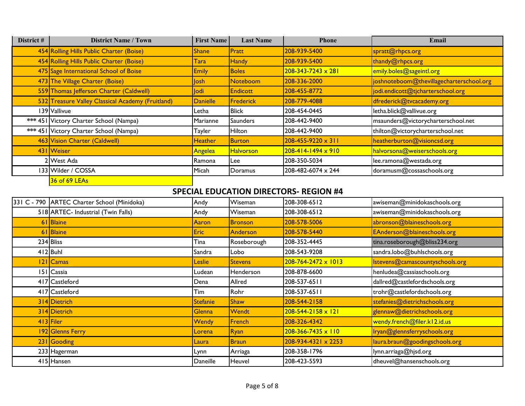| District # | <b>District Name / Town</b>                       | <b>First Name</b> | <b>Last Name</b> | <b>Phone</b>                  | Email                                    |
|------------|---------------------------------------------------|-------------------|------------------|-------------------------------|------------------------------------------|
|            | 454 Rolling Hills Public Charter (Boise)          | <b>Shane</b>      | Pratt            | 208-939-5400                  | spratt@rhpcs.org                         |
|            | 454 Rolling Hills Public Charter (Boise)          | Tara              | <b>Handy</b>     | 208-939-5400                  | thandy@rhpcs.org                         |
|            | 475 Sage International School of Boise            | <b>Emily</b>      | <b>Boles</b>     | $208 - 343 - 7243 \times 281$ | emily.boles@sageintl.org                 |
|            | 473 The Village Charter (Boise)                   | <b>losh</b>       | Noteboom         | 208-336-2000                  | joshnoteboom@thevillagecharterschool.org |
|            | 559 Thomas Jefferson Charter (Caldwell)           | <b>lodi</b>       | <b>Endicott</b>  | 208-455-8772                  | jodi.endicott@tjcharterschool.org        |
|            | 532 Treasure Valley Classical Academy (Fruitland) | Danielle          | Frederick        | 208-779-4088                  | dfrederick@tvcacademy.org                |
|            | 139 Vallivue                                      | Letha             | <b>Blick</b>     | 208-454-0445                  | letha.blick@vallivue.org                 |
|            | *** 451 Victory Charter School (Nampa)            | Marianne          | Saunders         | 208-442-9400                  | msaunders@victorycharterschool.net       |
|            | *** 451 Victory Charter School (Nampa)            | Tayler            | <b>Hilton</b>    | 208-442-9400                  | thilton@victorycharterschool.net         |
|            | 463 Vision Charter (Caldwell)                     | Heather           | Burton           | $208 - 455 - 9220 \times 311$ | heatherburton@visioncsd.org              |
|            | 431 Weiser                                        | Angelea           | <b>Halvorson</b> | 208-414-1494 x 910            | halvorsona@weiserschools.org             |
|            | 2 West Ada                                        | Ramona            | Lee              | 208-350-5034                  | lee.ramona@westada.org                   |
|            | 133 Wilder / COSSA                                | Micah             | Doramus          | 208-482-6074 x 244            | doramusm@cossaschools.org                |
|            | 36 of 69 LEAs                                     |                   |                  |                               |                                          |

| 331 C - 790 ARTEC Charter School (Minidoka) | Andy            | Wiseman        | 208-308-6512                   | awiseman@minidokaschools.org    |
|---------------------------------------------|-----------------|----------------|--------------------------------|---------------------------------|
| 518 ARTEC- Industrial (Twin Falls)          | Andy            | Wiseman        | 208-308-6512                   | awiseman@minidokaschools.org    |
| 61 Blaine                                   | Aaron           | <b>Bronson</b> | 208-578-5006                   | abronson@blaineschools.org      |
| 61 Blaine                                   | <b>Eric</b>     | Anderson       | 208-578-5440                   | EAnderson@blaineschools.org     |
| 234 Bliss                                   | Tina            | Roseborough    | 208-352-4445                   | tina.roseborough@bliss234.org   |
| $412$ Buhl                                  | Sandra          | Lobo           | 208-543-9208                   | sandra.lobo@buhlschools.org     |
| 121 Camas                                   | <b>Leslie</b>   | <b>Stevens</b> | $208 - 764 - 2472 \times 1013$ | Istevens@camascountyschools.org |
| 151 Cassia                                  | Ludean          | Henderson      | 208-878-6600                   | henludea@cassiaschools.org      |
| 417 Castleford                              | Dena            | Allred         | 208-537-6511                   | dallred@castlefordschools.org   |
| 417 Castleford                              | Tim             | Rohr           | 208-537-6511                   | trohr@castlefordschools.org     |
| 314 Dietrich                                | <b>Stefanie</b> | <b>Shaw</b>    | 208-544-2158                   | stefanies@dietrichschools.org   |
| 314 Dietrich                                | <b>Glenna</b>   | Wendt          | $208 - 544 - 2158 \times 121$  | glennaw@dietrichschools.org     |
| 413 Filer                                   | <b>Wendy</b>    | French         | 208-326-4342                   | wendy.french@filer.kl2.id.us    |
| 192 Glenns Ferry                            | Lorena          | Ryan           | $208 - 366 - 7435 \times 110$  | Iryan@glennsferryschools.org    |
| 231 Gooding                                 | Laura           | <b>Braun</b>   | $208 - 934 - 4321 \times 2253$ | laura.braun@goodingschools.org  |
| 233 Hagerman                                | Lynn            | Arriaga        | 208-358-1796                   | lynn.arriaga@hjsd.org           |
| 415 Hansen                                  | Daneille        | Heuvel         | 208-423-5593                   | dheuvel@hansenschools.org       |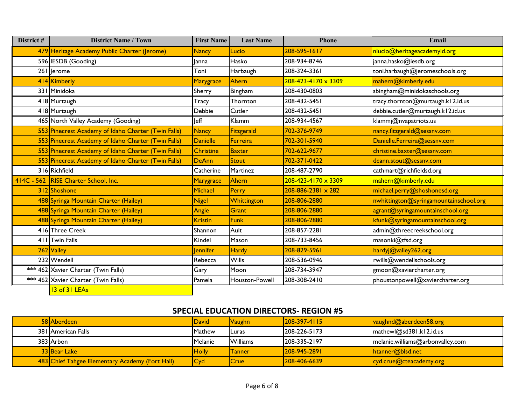| District # | <b>District Name / Town</b>                         | <b>First Name</b> | <b>Last Name</b> | Phone                          | Email                                  |
|------------|-----------------------------------------------------|-------------------|------------------|--------------------------------|----------------------------------------|
|            | 479 Heritage Academy Public Charter (Jerome)        | <b>Nancy</b>      | Lucio            | 208-595-1617                   | nlucio@heritageacademyid.org           |
|            | 596 IESDB (Gooding)                                 | lanna             | Hasko            | 208-934-8746                   | janna.hasko@iesdb.org                  |
|            | 261 Jerome                                          | Toni              | Harbaugh         | 208-324-3361                   | toni.harbaugh@jeromeschools.org        |
|            | 414 Kimberly                                        | Marygrace         | Ahern            | $208 - 423 - 4170 \times 3309$ | mahern@kimberly.edu                    |
|            | 331 Minidoka                                        | Sherry            | Bingham          | 208-430-0803                   | sbingham@minidokaschools.org           |
|            | 418 Murtaugh                                        | Tracy             | Thornton         | 208-432-5451                   | tracy.thornton@murtaugh.kl2.id.us      |
|            | 418 Murtaugh                                        | Debbie            | Cutler           | 208-432-5451                   | debbie.cutler@murtaugh.kl2.id.us       |
|            | 465 North Valley Academy (Gooding)                  | leff              | Klamm            | 208-934-4567                   | klammj@nvapatriots.us                  |
|            | 553 Pinecrest Academy of Idaho Charter (Twin Falls) | <b>Nancy</b>      | Fitzgerald       | 702-376-9749                   | nancy.fitzgerald@sessnv.com            |
|            | 553 Pinecrest Academy of Idaho Charter (Twin Falls) | <b>Danielle</b>   | Ferreira         | 702-301-5940                   | Danielle.Ferreira@sessnv.com           |
|            | 553 Pinecrest Academy of Idaho Charter (Twin Falls) | <b>Christine</b>  | <b>Baxter</b>    | 702-622-9677                   | christine.baxter@sessnv.com            |
|            | 553 Pinecrest Academy of Idaho Charter (Twin Falls) | <b>DeAnn</b>      | <b>Stout</b>     | 702-371-0422                   | deann.stout@sessnv.com                 |
|            | 316 Richfield                                       | Catherine         | Martinez         | 208-487-2790                   | cathmart@richfieldsd.org               |
|            | 414C - 562 RISE Charter School, Inc.                | Marygrace         | Ahern            | $208 - 423 - 4170 \times 3309$ | mahern@kimberly.edu                    |
|            | 312 Shoshone                                        | <b>Michael</b>    | Perry            | $208 - 886 - 2381 \times 282$  | michael.perry@shoshonesd.org           |
|            | 488 Syringa Mountain Charter (Hailey)               | <b>Nigel</b>      | Whittington      | 208-806-2880                   | nwhittington@syringamountainschool.org |
|            | 488 Syringa Mountain Charter (Hailey)               | Angie             | <b>Grant</b>     | 208-806-2880                   | agrant@syringamountainschool.org       |
|            | 488 Syringa Mountain Charter (Hailey)               | <b>Kristin</b>    | <b>Funk</b>      | 208-806-2880                   | kfunk@syringamountainschool.org        |
|            | 416 Three Creek                                     | Shannon           | Ault             | 208-857-2281                   | admin@threecreekschool.org             |
|            | 411 Twin Falls                                      | Kindel            | Mason            | 208-733-8456                   | masonki@tfsd.org                       |
|            | 262 Valley                                          | <b>lennifer</b>   | <b>Hardy</b>     | 208-829-5961                   | hardyj@valley262.org                   |
|            | 232 Wendell                                         | Rebecca           | <b>Wills</b>     | 208-536-0946                   | rwills@wendellschools.org              |
|            | *** 462 Xavier Charter (Twin Falls)                 | Gary              | Moon             | 208-734-3947                   | gmoon@xaviercharter.org                |
|            | *** 462 Xavier Charter (Twin Falls)                 | Pamela            | Houston-Powell   | 208-308-2410                   | phoustonpowell@xaviercharter.org       |
|            | 13 of 31 LEAs                                       |                   |                  |                                |                                        |

| 58 Aberdeen                                     | <b>IDavid</b> | <b>Vaughn</b>   | $ 208-397-4115 $    | $\sqrt{\mathsf{v} \cdot \mathsf{u} \cdot \mathsf{g}}$ vaughnd@aberdeen58.org |
|-------------------------------------------------|---------------|-----------------|---------------------|------------------------------------------------------------------------------|
| 381 American Falls                              | Mathew        | <b>ILuras</b>   | 208-226-5173        | $\text{matchewl}$ @sd381.k12.id.us                                           |
| 383 Arbon                                       | Melanie       | <b>Williams</b> | 208-335-2197        | melanie.williams@arbonvalley.com                                             |
| 33 Bear Lake                                    | <b>Holly</b>  | <b>Tanner</b>   | $ 208 - 945 - 289 $ | htanner@blsd.net                                                             |
| 483 Chief Tahgee Elementary Academy (Fort Hall) | Cyd           | <b>Crue</b>     | 208-406-6639        | cyd.crue@cteacademy.org                                                      |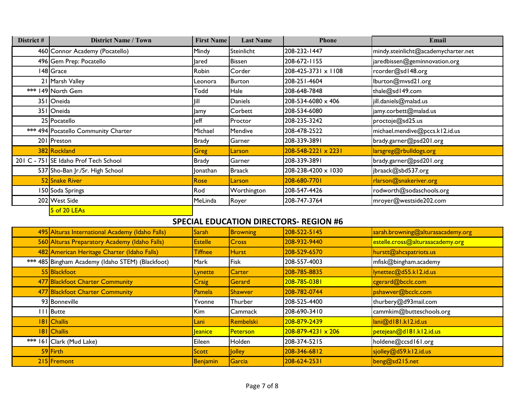| District # | <b>District Name / Town</b>           | <b>First Name</b> | <b>Last Name</b> | <b>Phone</b>                   | Email                               |
|------------|---------------------------------------|-------------------|------------------|--------------------------------|-------------------------------------|
|            | 460 Connor Academy (Pocatello)        | Mindy             | Steinlicht       | 208-232-1447                   | mindy.steinlicht@academycharter.net |
|            | 496 Gem Prep: Pocatello               | lared             | <b>Bissen</b>    | 208-672-1155                   | jaredbissen@geminnovation.org       |
|            | 148 Grace                             | Robin             | Corder           | 208-425-3731 x 1108            | rcorder@sd148.org                   |
|            | 21 Marsh Valley                       | Leonora           | Burton           | 208-251-4604                   | lburton@mvsd21.org                  |
|            | *** 149 North Gem                     | <b>Todd</b>       | Hale             | 208-648-7848                   | thale@sd149.com                     |
|            | 351 Oneida                            | Jill              | Daniels          | 208-534-6080 x 406             | jill.daniels@malad.us               |
|            | 351 Oneida                            | Jamy              | Corbett          | 208-534-6080                   | jamy.corbett@malad.us               |
|            | 25 Pocatello                          | <b>Jeff</b>       | Proctor          | 208-235-3242                   | proctoje@sd25.us                    |
|            | *** 494 Pocatello Community Charter   | Michael           | Mendive          | 208-478-2522                   | michael.mendive@pccs.kl2.id.us      |
|            | 201 Preston                           | <b>Brady</b>      | Garner           | 208-339-3891                   | brady.garner@psd201.org             |
|            | 382 Rockland                          | Greg              | Larson           | $208 - 548 - 2221 \times 2231$ | larsgreg@rbulldogs.org              |
|            | 201 C - 751 SE Idaho Prof Tech School | Brady             | Garner           | 208-339-3891                   | brady.garner@psd201.org             |
|            | 537 Sho-Ban Jr./Sr. High School       | Jonathan          | <b>Braack</b>    | 208-238-4200 x 1030            | jbraack@sbd537.org                  |
|            | 52 Snake River                        | Rose              | Larson           | 208-680-7701                   | rlarson@snakeriver.org              |
|            | 150 Soda Springs                      | Rod               | Worthington      | 208-547-4426                   | rodworth@sodaschools.org            |
|            | 202 West Side                         | MeLinda           | Royer            | 208-747-3764                   | mroyer@westside202.com              |
|            | 5 of 20 LEAs                          |                   |                  |                                |                                     |

| 495 Alturas International Academy (Idaho Falls)  | <b>Sarah</b>    | <b>Browning</b> | 208-522-5145                  | sarah.browning@alturasacademy.org |
|--------------------------------------------------|-----------------|-----------------|-------------------------------|-----------------------------------|
| 560 Alturas Preparatory Academy (Idaho Falls)    | <b>Estelle</b>  | <b>Cross</b>    | 208-932-9440                  | estelle.cross@alturasacademy.org  |
| 482 American Heritage Charter (Idaho Falls)      | <b>Tiffnee</b>  | <b>Hurst</b>    | 208-529-6570                  | hurstt@ahcspatriots.us            |
| *** 485 Bingham Academy (Idaho STEM) (Blackfoot) | Mark            | Fisk            | 208-557-4003                  | mfisk@bingham.academy             |
| 55 Blackfoot                                     | Lynette         | <b>Carter</b>   | 208-785-8835                  | Iynettec@d55.kl2.id.us            |
| 477 Blackfoot Charter Community                  | <b>Craig</b>    | Gerard          | 208-785-0381                  | cgerard@bcclc.com                 |
| 477 Blackfoot Charter Community                  | Pamela          | <b>Shawver</b>  | 208-782-0744                  | pshawver@bcclc.com                |
| 93 Bonneville                                    | Yvonne          | Thurber         | 208-525-4400                  | thurbery@d93mail.com              |
| IIIButte                                         | Kim             | Cammack         | 208-690-3410                  | cammkim@butteschools.org          |
| 181 Challis                                      | Lani            | Rembelski       | 208-879-2439                  | lan@d181.k12.id.us                |
| 181 Challis                                      | leanice         | <b>Peterson</b> | $208 - 879 - 4231 \times 206$ | petejean@d181.k12.id.us           |
| *** 161 Clark (Mud Lake)                         | Eileen          | Holden          | 208-374-5215                  | holdene@ccsd161.org               |
| 59 Firth                                         | Scott           | Jolley          | 208-346-6812                  | sjolley@d59.kl2.id.us             |
| 215 Fremont                                      | <b>Benjamin</b> | Garcia          | 208-624-2531                  | beng@sd215.net                    |